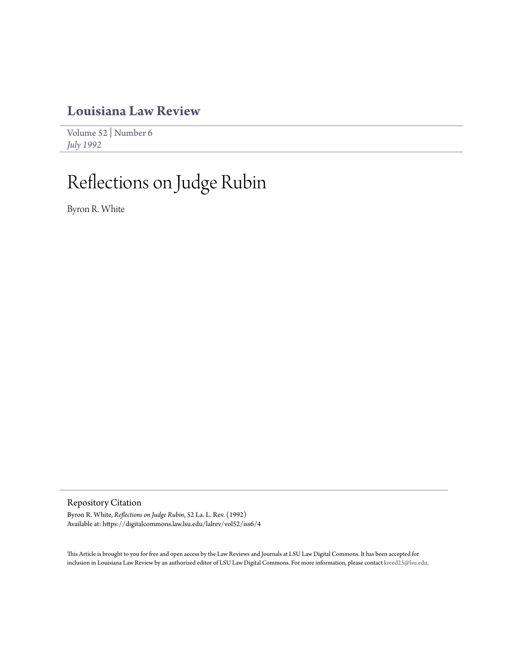## **[Louisiana Law Review](https://digitalcommons.law.lsu.edu/lalrev)**

[Volume 52](https://digitalcommons.law.lsu.edu/lalrev/vol52) | [Number 6](https://digitalcommons.law.lsu.edu/lalrev/vol52/iss6) *[July 1992](https://digitalcommons.law.lsu.edu/lalrev/vol52/iss6)*

## Reflections on Judge Rubin

Byron R. White

Repository Citation

Byron R. White, *Reflections on Judge Rubin*, 52 La. L. Rev. (1992) Available at: https://digitalcommons.law.lsu.edu/lalrev/vol52/iss6/4

This Article is brought to you for free and open access by the Law Reviews and Journals at LSU Law Digital Commons. It has been accepted for inclusion in Louisiana Law Review by an authorized editor of LSU Law Digital Commons. For more information, please contact [kreed25@lsu.edu](mailto:kreed25@lsu.edu).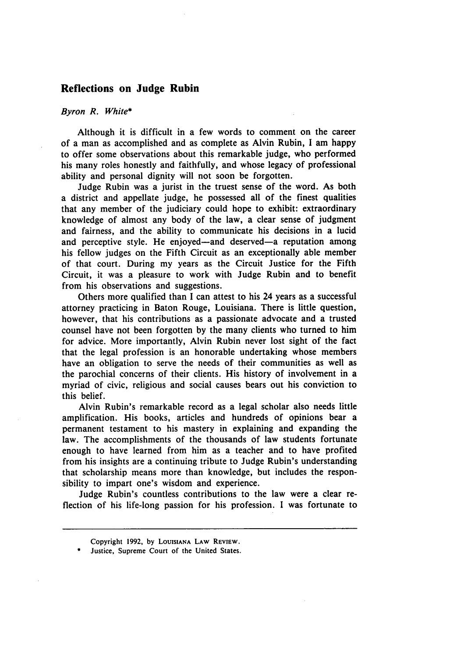## **Reflections on Judge Rubin**

## *Byron R. White\**

Although it is difficult in a few words to comment on the career of a man as accomplished and as complete as Alvin Rubin, **I** am happy to offer some observations about this remarkable judge, who performed his many roles honestly and faithfully, and whose legacy of professional ability and personal dignity will not soon be forgotten.

Judge Rubin was a jurist in the truest sense of the word. As both a district and appellate judge, he possessed all of the finest qualities that any member of the judiciary could hope to exhibit: extraordinary knowledge of almost any body of the law, a clear sense of judgment and fairness, and the ability to communicate his decisions in a lucid and perceptive style. He enjoyed—and deserved—a reputation among his fellow judges on the Fifth Circuit as an exceptionally able member of that court. During my years as the Circuit Justice for the Fifth Circuit, it was a pleasure to work with Judge Rubin and to benefit from his observations and suggestions.

Others more qualified than I can attest to his 24 years as a successful attorney practicing in Baton Rouge, Louisiana. There is little question, however, that his contributions as a passionate advocate and a trusted counsel have not been forgotten **by** the many clients who turned to him for advice. More importantly, Alvin Rubin never lost sight of the fact that the legal profession is an honorable undertaking whose members have an obligation to serve the needs of their communities as well as the parochial concerns of their clients. His history of involvement in a myriad of civic, religious and social causes bears out his conviction to this belief.

Alvin Rubin's remarkable record as a legal scholar also needs little amplification. His books, articles and hundreds of opinions bear a permanent testament to his mastery in explaining and expanding the law. The accomplishments of the thousands of law students fortunate enough to have learned from him as a teacher and to have profited from his insights are a continuing tribute to Judge Rubin's understanding that scholarship means more than knowledge, but includes the responsibility to impart one's wisdom and experience.

Judge Rubin's countless contributions to the law were a clear reflection of his life-long passion for his profession. I was fortunate to

Copyright **1992, by LOUISIANA LAW REviEw.**

Justice, Supreme Court of the United States.